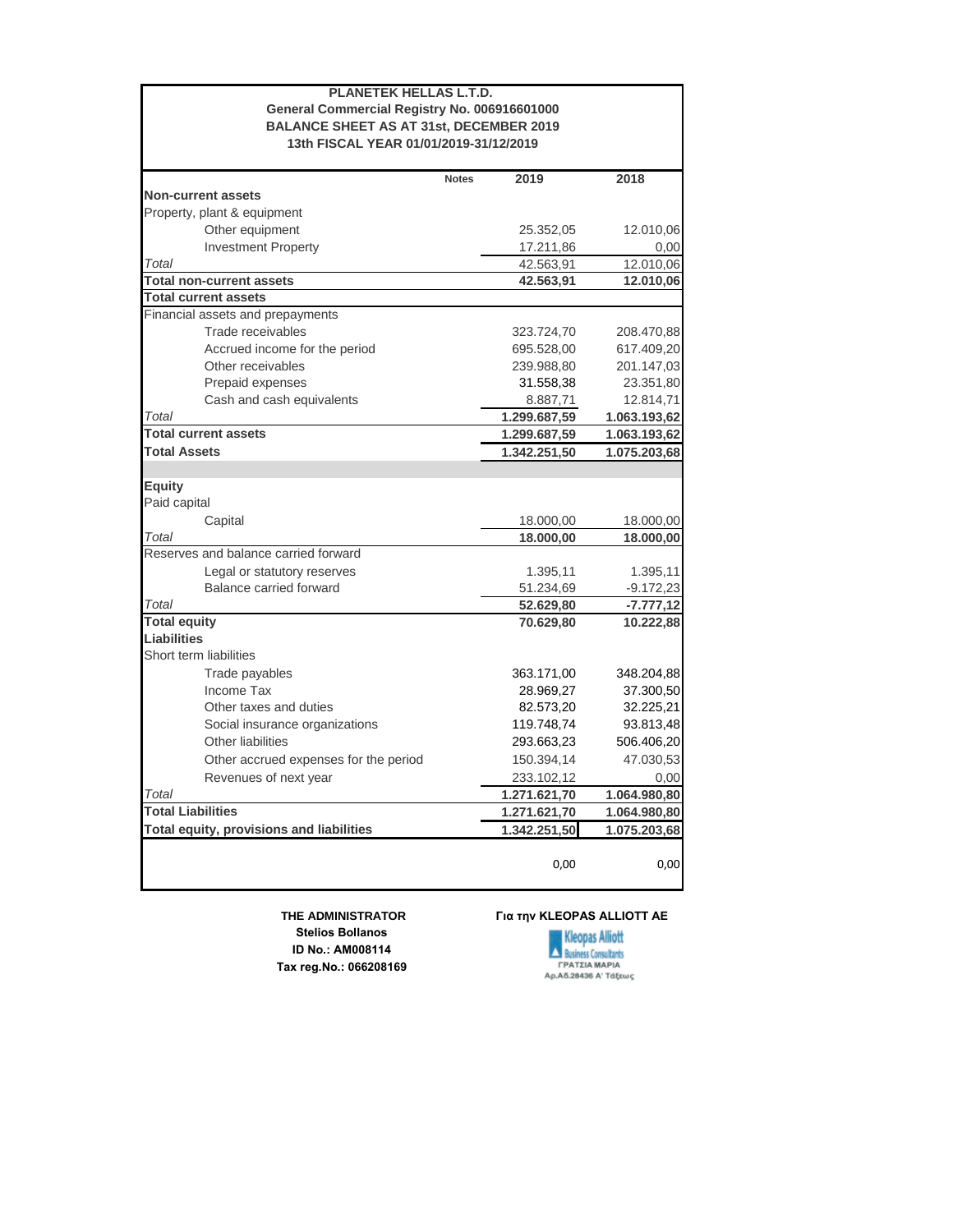| <b>PLANETEK HELLAS L.T.D.</b><br>General Commercial Registry No. 006916601000<br><b>BALANCE SHEET AS AT 31st, DECEMBER 2019</b><br>13th FISCAL YEAR 01/01/2019-31/12/2019 |              |              |              |  |
|---------------------------------------------------------------------------------------------------------------------------------------------------------------------------|--------------|--------------|--------------|--|
|                                                                                                                                                                           | <b>Notes</b> | 2019         | 2018         |  |
| <b>Non-current assets</b>                                                                                                                                                 |              |              |              |  |
| Property, plant & equipment                                                                                                                                               |              |              |              |  |
| Other equipment                                                                                                                                                           |              | 25.352,05    | 12.010,06    |  |
| <b>Investment Property</b>                                                                                                                                                |              | 17.211,86    | 0,00         |  |
| Total                                                                                                                                                                     |              | 42.563,91    | 12.010,06    |  |
| <b>Total non-current assets</b>                                                                                                                                           |              | 42.563,91    | 12.010,06    |  |
| <b>Total current assets</b>                                                                                                                                               |              |              |              |  |
| Financial assets and prepayments                                                                                                                                          |              |              |              |  |
| Trade receivables                                                                                                                                                         |              | 323.724,70   | 208.470,88   |  |
| Accrued income for the period                                                                                                                                             |              | 695.528,00   | 617.409,20   |  |
| Other receivables                                                                                                                                                         |              | 239.988,80   | 201.147,03   |  |
| Prepaid expenses                                                                                                                                                          |              | 31.558,38    | 23.351,80    |  |
| Cash and cash equivalents                                                                                                                                                 |              | 8.887,71     | 12.814,71    |  |
| Total                                                                                                                                                                     |              | 1.299.687,59 | 1.063.193,62 |  |
| <b>Total current assets</b>                                                                                                                                               |              | 1.299.687,59 | 1.063.193,62 |  |
| <b>Total Assets</b>                                                                                                                                                       |              | 1.342.251,50 | 1.075.203,68 |  |
| <b>Equity</b><br>Paid capital<br>Capital                                                                                                                                  |              | 18.000,00    | 18.000,00    |  |
| Total                                                                                                                                                                     |              | 18.000,00    | 18.000,00    |  |
| Reserves and balance carried forward                                                                                                                                      |              |              |              |  |
| Legal or statutory reserves                                                                                                                                               |              | 1.395,11     | 1.395,11     |  |
| Balance carried forward                                                                                                                                                   |              | 51.234,69    | $-9.172,23$  |  |
| Total                                                                                                                                                                     |              | 52.629,80    | $-7.777,12$  |  |
| <b>Total equity</b>                                                                                                                                                       |              | 70.629,80    | 10.222,88    |  |
| <b>Liabilities</b>                                                                                                                                                        |              |              |              |  |
| Short term liabilities                                                                                                                                                    |              |              |              |  |
| Trade payables                                                                                                                                                            |              | 363.171,00   | 348.204,88   |  |
| Income Tax                                                                                                                                                                |              | 28.969,27    | 37.300,50    |  |
| Other taxes and duties                                                                                                                                                    |              | 82.573,20    | 32.225,21    |  |
| Social insurance organizations                                                                                                                                            |              | 119.748,74   | 93.813,48    |  |
| Other liabilities                                                                                                                                                         |              | 293.663,23   | 506.406,20   |  |
| Other accrued expenses for the period                                                                                                                                     |              | 150.394,14   | 47.030,53    |  |
| Revenues of next year                                                                                                                                                     |              | 233.102,12   | 0,00         |  |
| Total                                                                                                                                                                     |              | 1.271.621,70 | 1.064.980,80 |  |
| <b>Total Liabilities</b>                                                                                                                                                  |              | 1.271.621,70 | 1.064.980,80 |  |
| Total equity, provisions and liabilities                                                                                                                                  |              | 1.342.251,50 | 1.075.203,68 |  |
|                                                                                                                                                                           |              | 0,00         | 0,00         |  |

 **THE ADMINISTRATOR Stelios Bollanos ID No.: ΑΜ008114 Tax reg.No.: 066208169**